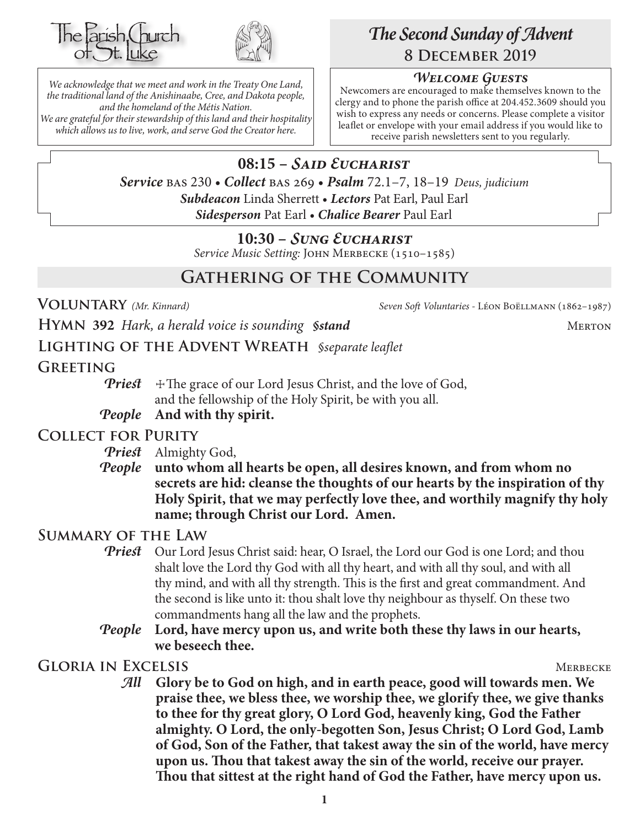



*We acknowledge that we meet and work in the Treaty One Land, the traditional land of the Anishinaabe, Cree, and Dakota people, and the homeland of the Métis Nation. We are grateful for their stewardship of this land and their hospitality which allows us to live, work, and serve God the Creator here.*

# *The Second Sunday of Advent* **8 December 2019**

## *Welcome Guests*

Newcomers are encouraged to make themselves known to the clergy and to phone the parish office at 204.452.3609 should you wish to express any needs or concerns. Please complete a visitor leaflet or envelope with your email address if you would like to receive parish newsletters sent to you regularly.

**08:15 –** *Said Eucharist Service* bas 230 • *Collect* bas 269 • *Psalm* 72.1–7, 18–19 *Deus, judicium Subdeacon* Linda Sherrett • *Lectors* Pat Earl, Paul Earl *Sidesperson* Pat Earl • *Chalice Bearer* Paul Earl

## **10:30 –** *Sung Eucharist*

*Service Music Setting:* John Merbecke (1510–1585)

# **Gathering of the Community**

**Voluntary** *(Mr. Kinnard) Seven Soft Voluntaries -* Léon Boëllmann (1862–1987)

**HYMN** 392 *Hark, a herald voice is sounding §stand* MERTON

**Lighting of the Advent Wreath** *§separate leaflet*

## **Greeting**

*Priest*  $\pm$  The grace of our Lord Jesus Christ, and the love of God, and the fellowship of the Holy Spirit, be with you all.

## *People* **And with thy spirit.**

## **Collect for Purity**

*Priest* Almighty God,

*People* **unto whom all hearts be open, all desires known, and from whom no secrets are hid: cleanse the thoughts of our hearts by the inspiration of thy Holy Spirit, that we may perfectly love thee, and worthily magnify thy holy name; through Christ our Lord. Amen.**

## **Summary of the Law**

- **Priest** Our Lord Jesus Christ said: hear, O Israel, the Lord our God is one Lord; and thou shalt love the Lord thy God with all thy heart, and with all thy soul, and with all thy mind, and with all thy strength. This is the first and great commandment. And the second is like unto it: thou shalt love thy neighbour as thyself. On these two commandments hang all the law and the prophets.
- *People* **Lord, have mercy upon us, and write both these thy laws in our hearts, we beseech thee.**

## **GLORIA IN EXCELSIS** MERECKE

*All* **Glory be to God on high, and in earth peace, good will towards men. We praise thee, we bless thee, we worship thee, we glorify thee, we give thanks to thee for thy great glory, O Lord God, heavenly king, God the Father almighty. O Lord, the only-begotten Son, Jesus Christ; O Lord God, Lamb of God, Son of the Father, that takest away the sin of the world, have mercy upon us. Thou that takest away the sin of the world, receive our prayer. Thou that sittest at the right hand of God the Father, have mercy upon us.**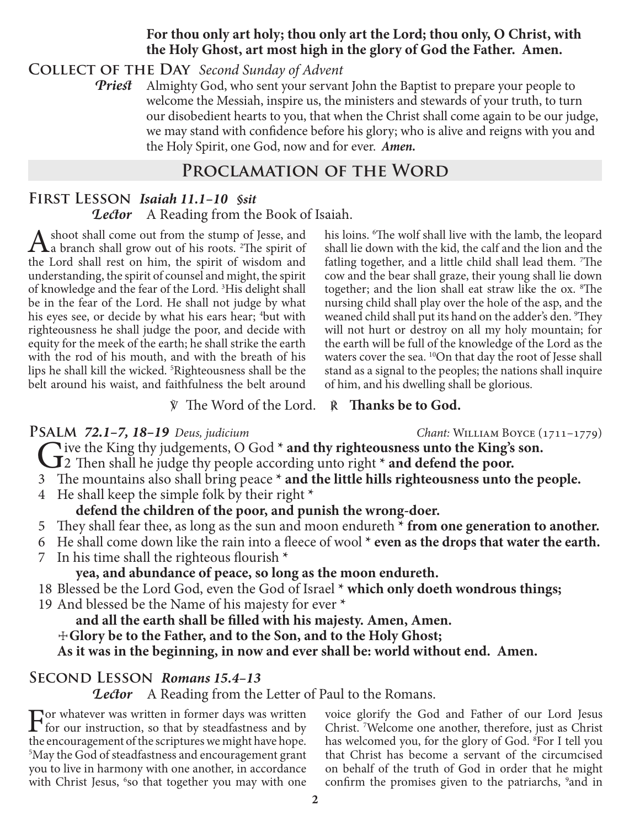## **For thou only art holy; thou only art the Lord; thou only, O Christ, with the Holy Ghost, art most high in the glory of God the Father. Amen.**

## **Collect of the Day** *Second Sunday of Advent*

*Priest* Almighty God, who sent your servant John the Baptist to prepare your people to welcome the Messiah, inspire us, the ministers and stewards of your truth, to turn our disobedient hearts to you, that when the Christ shall come again to be our judge, we may stand with confidence before his glory; who is alive and reigns with you and the Holy Spirit, one God, now and for ever.*Amen.*

# **Proclamation of the Word**

## **First Lesson** *Isaiah 11.1–10 §sit Lector* A Reading from the Book of Isaiah.

A shoot shall come out from the stump of Jesse, and<br>
a branch shall grow out of his roots. <sup>2</sup>The spirit of the Lord shall rest on him, the spirit of wisdom and understanding, the spirit of counsel and might, the spirit of knowledge and the fear of the Lord.<sup>3</sup>His delight shall be in the fear of the Lord. He shall not judge by what his eyes see, or decide by what his ears hear; <sup>4</sup>but with righteousness he shall judge the poor, and decide with equity for the meek of the earth; he shall strike the earth with the rod of his mouth, and with the breath of his lips he shall kill the wicked. 5 Righteousness shall be the belt around his waist, and faithfulness the belt around

his loins. 6 The wolf shall live with the lamb, the leopard shall lie down with the kid, the calf and the lion and the fatling together, and a little child shall lead them. 7 The cow and the bear shall graze, their young shall lie down together; and the lion shall eat straw like the ox. 8 The nursing child shall play over the hole of the asp, and the weaned child shall put its hand on the adder's den. <sup>9</sup>They will not hurt or destroy on all my holy mountain; for the earth will be full of the knowledge of the Lord as the waters cover the sea. <sup>10</sup>On that day the root of Jesse shall stand as a signal to the peoples; the nations shall inquire of him, and his dwelling shall be glorious.

℣ The Word of the Lord. ℟ **Thanks be to God.**

**PSALM 72.1–7, 18–19** *Deus, judicium Chant: WILLIAM BOYCE* (1711–1779) *Chant: VILLIAM BOYCE* (1711–1779) Give the King thy judgements, O God **\* and thy righteousness unto the King's son.**<br>
2 Then shall he judge thy people according unto right **\* and defend the poor.**<br>
<sup>2</sup> The mountains also shall heing needs **\* and the little** 

- 
- 3 The mountains also shall bring peace **\* and the little hills righteousness unto the people.**
- 4 He shall keep the simple folk by their right **\***

# **defend the children of the poor, and punish the wrong-doer.**

- 5 They shall fear thee, as long as the sun and moon endureth **\* from one generation to another.**
- 6 He shall come down like the rain into a fleece of wool **\* even as the drops that water the earth.**
- 7 In his time shall the righteous flourish **\***

**yea, and abundance of peace, so long as the moon endureth.**

- 18 Blessed be the Lord God, even the God of Israel **\* which only doeth wondrous things;**
- 19 And blessed be the Name of his majesty for ever **\***

**and all the earth shall be filled with his majesty. Amen, Amen.**

☩**Glory be to the Father, and to the Son, and to the Holy Ghost;**

**As it was in the beginning, in now and ever shall be: world without end. Amen.**

# **Second Lesson** *Romans 15.4–13*

*Lector* A Reading from the Letter of Paul to the Romans.

For whatever was written in former days was written for our instruction, so that by steadfastness and by the approximate  $f$ <sup>th</sup> a satisfying we might have here. the encouragement of the scriptures we might have hope. 5 May the God of steadfastness and encouragement grant you to live in harmony with one another, in accordance with Christ Jesus, <sup>6</sup>so that together you may with one voice glorify the God and Father of our Lord Jesus Christ. 7 Welcome one another, therefore, just as Christ has welcomed you, for the glory of God. 8 For I tell you that Christ has become a servant of the circumcised on behalf of the truth of God in order that he might confirm the promises given to the patriarchs, <sup>9</sup> and in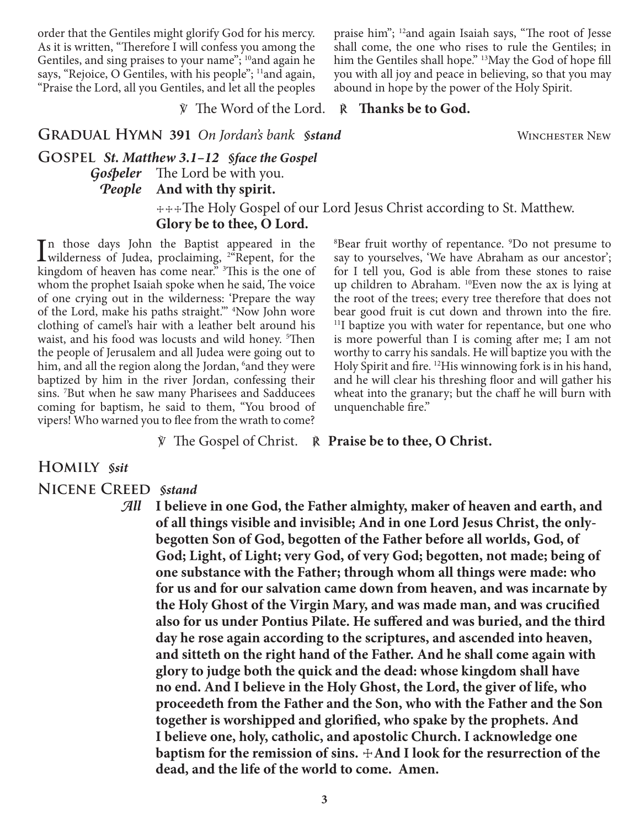order that the Gentiles might glorify God for his mercy. As it is written, "Therefore I will confess you among the Gentiles, and sing praises to your name";  $10$ and again he says, "Rejoice, O Gentiles, with his people"; <sup>11</sup>and again, "Praise the Lord, all you Gentiles, and let all the peoples praise him"; 12and again Isaiah says, "The root of Jesse shall come, the one who rises to rule the Gentiles; in him the Gentiles shall hope." <sup>13</sup>May the God of hope fill you with all joy and peace in believing, so that you may abound in hope by the power of the Holy Spirit.

℣ The Word of the Lord. ℟ **Thanks be to God.**

**GRADUAL HYMN 391** On Jordan's bank *§stand* WINCHESTER NEW

**Gospel** *St. Matthew 3.1–12 §face the Gospel Gospeler* The Lord be with you. *People* **And with thy spirit.**

> ☩☩☩The Holy Gospel of our Lord Jesus Christ according to St. Matthew. **Glory be to thee, O Lord.**

In those days John the Baptist appeared in the wilderness of Judea, proclaiming,  $^{2}$ <sup>a</sup>Repent, for the kingdom of horses has agreed and  $^{2}$ n those days John the Baptist appeared in the kingdom of heaven has come near." <sup>3</sup>This is the one of whom the prophet Isaiah spoke when he said, The voice of one crying out in the wilderness: 'Prepare the way of the Lord, make his paths straight.'" 4 Now John wore clothing of camel's hair with a leather belt around his waist, and his food was locusts and wild honey. <sup>5</sup>Then the people of Jerusalem and all Judea were going out to him, and all the region along the Jordan, <sup>6</sup>and they were baptized by him in the river Jordan, confessing their sins. 7 But when he saw many Pharisees and Sadducees coming for baptism, he said to them, "You brood of vipers! Who warned you to flee from the wrath to come?

8 Bear fruit worthy of repentance. 9 Do not presume to say to yourselves, 'We have Abraham as our ancestor'; for I tell you, God is able from these stones to raise up children to Abraham. 10Even now the ax is lying at the root of the trees; every tree therefore that does not bear good fruit is cut down and thrown into the fire. 11I baptize you with water for repentance, but one who is more powerful than I is coming after me; I am not worthy to carry his sandals. He will baptize you with the Holy Spirit and fire. 12His winnowing fork is in his hand, and he will clear his threshing floor and will gather his wheat into the granary; but the chaff he will burn with unquenchable fire."

℣ The Gospel of Christ. ℟ **Praise be to thee, O Christ.**

#### **Homily** *§sit*

#### **Nicene Creed** *§stand*

*All* **I believe in one God, the Father almighty, maker of heaven and earth, and of all things visible and invisible; And in one Lord Jesus Christ, the onlybegotten Son of God, begotten of the Father before all worlds, God, of God; Light, of Light; very God, of very God; begotten, not made; being of one substance with the Father; through whom all things were made: who for us and for our salvation came down from heaven, and was incarnate by the Holy Ghost of the Virgin Mary, and was made man, and was crucified also for us under Pontius Pilate. He suffered and was buried, and the third day he rose again according to the scriptures, and ascended into heaven, and sitteth on the right hand of the Father. And he shall come again with glory to judge both the quick and the dead: whose kingdom shall have no end. And I believe in the Holy Ghost, the Lord, the giver of life, who proceedeth from the Father and the Son, who with the Father and the Son together is worshipped and glorified, who spake by the prophets. And I believe one, holy, catholic, and apostolic Church. I acknowledge one baptism for the remission of sins.**  $\pm$ **And I look for the resurrection of the dead, and the life of the world to come. Amen.**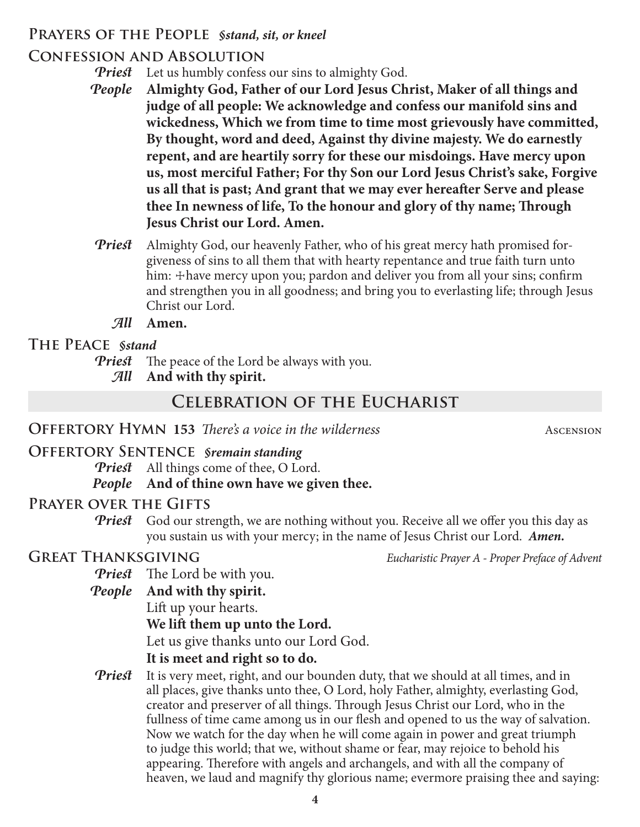## **Prayers of the People** *§stand, sit, or kneel*

# **Confession and Absolution**

*Priest* Let us humbly confess our sins to almighty God.

- *People* **Almighty God, Father of our Lord Jesus Christ, Maker of all things and judge of all people: We acknowledge and confess our manifold sins and wickedness, Which we from time to time most grievously have committed, By thought, word and deed, Against thy divine majesty. We do earnestly repent, and are heartily sorry for these our misdoings. Have mercy upon us, most merciful Father; For thy Son our Lord Jesus Christ's sake, Forgive us all that is past; And grant that we may ever hereafter Serve and please thee In newness of life, To the honour and glory of thy name; Through Jesus Christ our Lord. Amen.**
- *Priest* Almighty God, our heavenly Father, who of his great mercy hath promised forgiveness of sins to all them that with hearty repentance and true faith turn unto him: + have mercy upon you; pardon and deliver you from all your sins; confirm and strengthen you in all goodness; and bring you to everlasting life; through Jesus Christ our Lord.
	- *All* **Amen.**

# **The Peace** *§stand*

*Priest* The peace of the Lord be always with you.

*All* **And with thy spirit.**

# **Celebration of the Eucharist**

# **OFFERTORY HYMN 153** *There's a voice in the wilderness* Ascension

# **Offertory Sentence** *§remain standing*

*Priest* All things come of thee, O Lord.

# *People* **And of thine own have we given thee.**

# **Prayer over the Gifts**

*Priest* God our strength, we are nothing without you. Receive all we offer you this day as you sustain us with your mercy; in the name of Jesus Christ our Lord. *Amen.*

**Great Thanksgiving** *Eucharistic Prayer A - Proper Preface of Advent*

- *Priest* The Lord be with you.
- *People* **And with thy spirit.**

Lift up your hearts.

**We lift them up unto the Lord.**

Let us give thanks unto our Lord God.

# **It is meet and right so to do.**

*Priest* It is very meet, right, and our bounden duty, that we should at all times, and in all places, give thanks unto thee, O Lord, holy Father, almighty, everlasting God, creator and preserver of all things. Through Jesus Christ our Lord, who in the fullness of time came among us in our flesh and opened to us the way of salvation. Now we watch for the day when he will come again in power and great triumph to judge this world; that we, without shame or fear, may rejoice to behold his appearing. Therefore with angels and archangels, and with all the company of heaven, we laud and magnify thy glorious name; evermore praising thee and saying: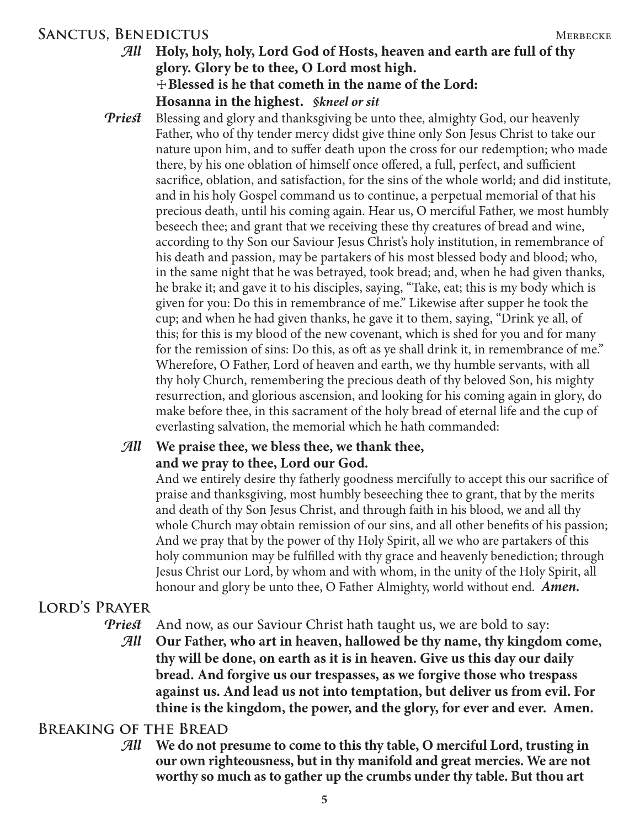## SANCTUS, BENEDICTUS MERBECKE

## *All* **Holy, holy, holy, Lord God of Hosts, heaven and earth are full of thy glory. Glory be to thee, O Lord most high.** ☩**Blessed is he that cometh in the name of the Lord: Hosanna in the highest.** *§kneel or sit*

*Priest* Blessing and glory and thanksgiving be unto thee, almighty God, our heavenly Father, who of thy tender mercy didst give thine only Son Jesus Christ to take our nature upon him, and to suffer death upon the cross for our redemption; who made there, by his one oblation of himself once offered, a full, perfect, and sufficient sacrifice, oblation, and satisfaction, for the sins of the whole world; and did institute, and in his holy Gospel command us to continue, a perpetual memorial of that his precious death, until his coming again. Hear us, O merciful Father, we most humbly beseech thee; and grant that we receiving these thy creatures of bread and wine, according to thy Son our Saviour Jesus Christ's holy institution, in remembrance of his death and passion, may be partakers of his most blessed body and blood; who, in the same night that he was betrayed, took bread; and, when he had given thanks, he brake it; and gave it to his disciples, saying, "Take, eat; this is my body which is given for you: Do this in remembrance of me." Likewise after supper he took the cup; and when he had given thanks, he gave it to them, saying, "Drink ye all, of this; for this is my blood of the new covenant, which is shed for you and for many for the remission of sins: Do this, as oft as ye shall drink it, in remembrance of me." Wherefore, O Father, Lord of heaven and earth, we thy humble servants, with all thy holy Church, remembering the precious death of thy beloved Son, his mighty resurrection, and glorious ascension, and looking for his coming again in glory, do make before thee, in this sacrament of the holy bread of eternal life and the cup of everlasting salvation, the memorial which he hath commanded:

## *All* **We praise thee, we bless thee, we thank thee, and we pray to thee, Lord our God.**

 And we entirely desire thy fatherly goodness mercifully to accept this our sacrifice of praise and thanksgiving, most humbly beseeching thee to grant, that by the merits and death of thy Son Jesus Christ, and through faith in his blood, we and all thy whole Church may obtain remission of our sins, and all other benefits of his passion; And we pray that by the power of thy Holy Spirit, all we who are partakers of this holy communion may be fulfilled with thy grace and heavenly benediction; through Jesus Christ our Lord, by whom and with whom, in the unity of the Holy Spirit, all honour and glory be unto thee, O Father Almighty, world without end. *Amen.*

## **Lord's Prayer**

*Priest* And now, as our Saviour Christ hath taught us, we are bold to say:

*All* **Our Father, who art in heaven, hallowed be thy name, thy kingdom come, thy will be done, on earth as it is in heaven. Give us this day our daily bread. And forgive us our trespasses, as we forgive those who trespass against us. And lead us not into temptation, but deliver us from evil. For thine is the kingdom, the power, and the glory, for ever and ever. Amen.**

## **Breaking of the Bread**

*All* **We do not presume to come to this thy table, O merciful Lord, trusting in our own righteousness, but in thy manifold and great mercies. We are not worthy so much as to gather up the crumbs under thy table. But thou art**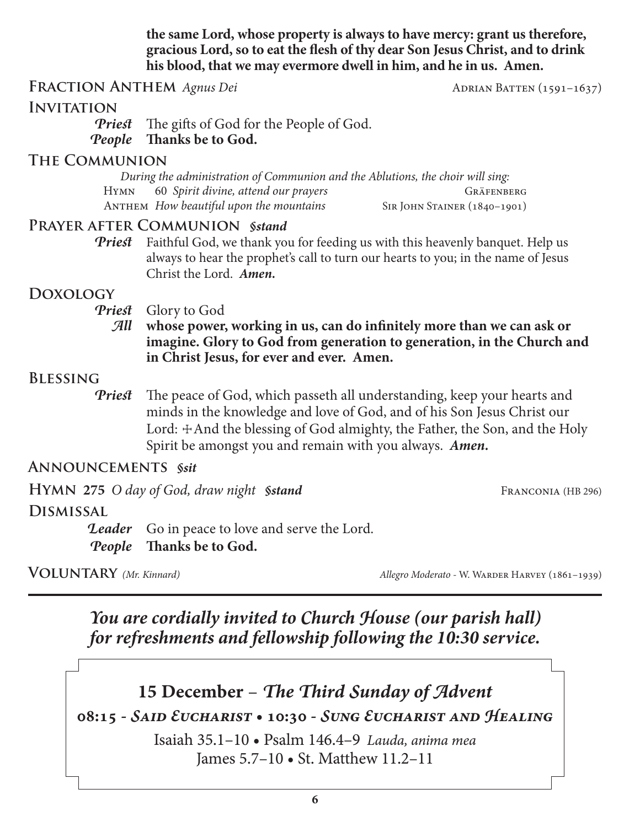**the same Lord, whose property is always to have mercy: grant us therefore, gracious Lord, so to eat the flesh of thy dear Son Jesus Christ, and to drink his blood, that we may evermore dwell in him, and he in us. Amen.**

### **FRACTION ANTHEM** *Agnus Dei* ADRIAN BATTEN (1591–1637)

#### **Invitation**

*Priest* The gifts of God for the People of God. *People* **Thanks be to God.**

### **The Communion**

*During the administration of Communion and the Ablutions, the choir will sing:* Hymn 60 *Spirit divine, attend our prayers* Gräfenberg ANTHEM *How beautiful upon the mountains* SIR JOHN STAINER (1840–1901)

#### **Prayer after Communion** *§stand*

*Priest* Faithful God, we thank you for feeding us with this heavenly banquet. Help us always to hear the prophet's call to turn our hearts to you; in the name of Jesus Christ the Lord. *Amen.*

#### **Doxology**

- *Priest* Glory to God
	- *All* **whose power, working in us, can do infinitely more than we can ask or imagine. Glory to God from generation to generation, in the Church and in Christ Jesus, for ever and ever. Amen.**

#### **Blessing**

*Priest* The peace of God, which passeth all understanding, keep your hearts and minds in the knowledge and love of God, and of his Son Jesus Christ our Lord:  $\pm$ And the blessing of God almighty, the Father, the Son, and the Holy Spirit be amongst you and remain with you always. *Amen.*

### **Announcements** *§sit*

**HYMN** 275 *O day of God, draw night §stand* FRANCONIA (HB 296) **Dismissal Leader** Go in peace to love and serve the Lord. *People* **Thanks be to God.**

**VOLUNTARY** (Mr. Kinnard) *Allegro Moderato - W. WARDER HARVEY* (1861–1939)

*You are cordially invited to Church House (our parish hall) for refreshments and fellowship following the 10:30 service.*



## **08:15 -** *Said Eucharist* **• 10:30 -** *Sung Eucharist and Healing*

Isaiah 35.1–10 • Psalm 146.4–9 *Lauda, anima mea* James 5.7–10 • St. Matthew 11.2–11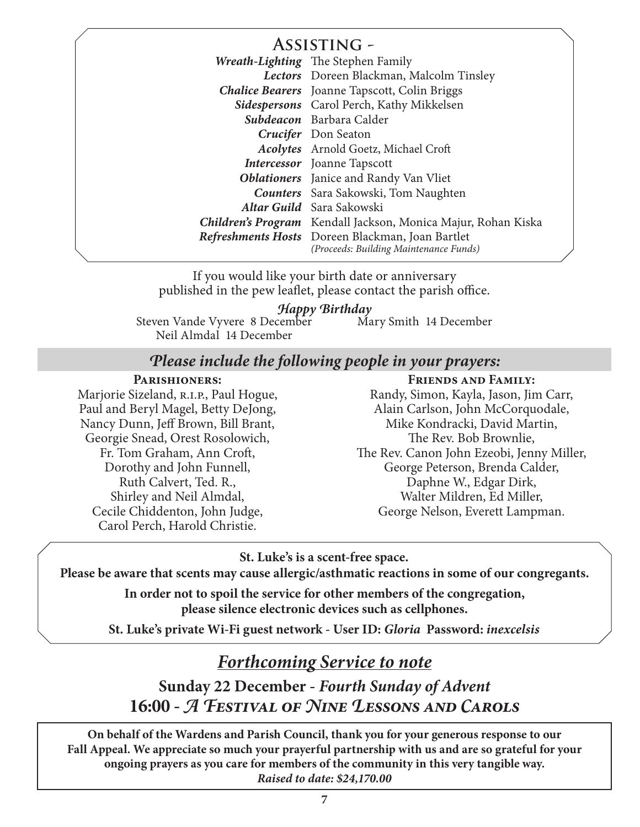## **Assisting -**

| 7 19919 1 1 1 1 1 1 1 |                                                                                            |
|-----------------------|--------------------------------------------------------------------------------------------|
|                       | Wreath-Lighting The Stephen Family                                                         |
|                       | Lectors Doreen Blackman, Malcolm Tinsley                                                   |
|                       | <b>Chalice Bearers</b> Joanne Tapscott, Colin Briggs                                       |
|                       | Sidespersons Carol Perch, Kathy Mikkelsen                                                  |
|                       | Subdeacon Barbara Calder                                                                   |
|                       | Crucifer Don Seaton                                                                        |
|                       | Acolytes Arnold Goetz, Michael Croft                                                       |
|                       | <b>Intercessor</b> Joanne Tapscott                                                         |
|                       | <b>Oblationers</b> Janice and Randy Van Vliet                                              |
|                       | <b>Counters</b> Sara Sakowski, Tom Naughten                                                |
|                       | Altar Guild Sara Sakowski                                                                  |
|                       | <b>Children's Program</b> Kendall Jackson, Monica Majur, Rohan Kiska                       |
|                       | Refreshments Hosts Doreen Blackman, Joan Bartlet<br>(Proceeds: Building Maintenance Funds) |

If you would like your birth date or anniversary published in the pew leaflet, please contact the parish office.

#### *Happy Birthday*

Steven Vande Vyvere 8 December Neil Almdal 14 December Mary Smith 14 December

## *Please include the following people in your prayers:*

#### **Parishioners:**

Marjorie Sizeland, R.I.P., Paul Hogue, Paul and Beryl Magel, Betty DeJong, Nancy Dunn, Jeff Brown, Bill Brant, Georgie Snead, Orest Rosolowich, Fr. Tom Graham, Ann Croft, Dorothy and John Funnell, Ruth Calvert, Ted. R., Shirley and Neil Almdal, Cecile Chiddenton, John Judge, Carol Perch, Harold Christie.

#### **Friends and Family:**

Randy, Simon, Kayla, Jason, Jim Carr, Alain Carlson, John McCorquodale, Mike Kondracki, David Martin, The Rev. Bob Brownlie, The Rev. Canon John Ezeobi, Jenny Miller, George Peterson, Brenda Calder, Daphne W., Edgar Dirk, Walter Mildren, Ed Miller, George Nelson, Everett Lampman.

**St. Luke's is a scent-free space.**

**Please be aware that scents may cause allergic/asthmatic reactions in some of our congregants.**

**In order not to spoil the service for other members of the congregation, please silence electronic devices such as cellphones.**

**St. Luke's private Wi-Fi guest network - User ID:** *Gloria* **Password:** *inexcelsis*

## *Forthcoming Service to note*

**Sunday 22 December -** *Fourth Sunday of Advent* **16:00 -** *A Festival of Nine Lessons and Carols*

**On behalf of the Wardens and Parish Council, thank you for your generous response to our Fall Appeal. We appreciate so much your prayerful partnership with us and are so grateful for your ongoing prayers as you care for members of the community in this very tangible way.** *Raised to date: \$24,170.00*